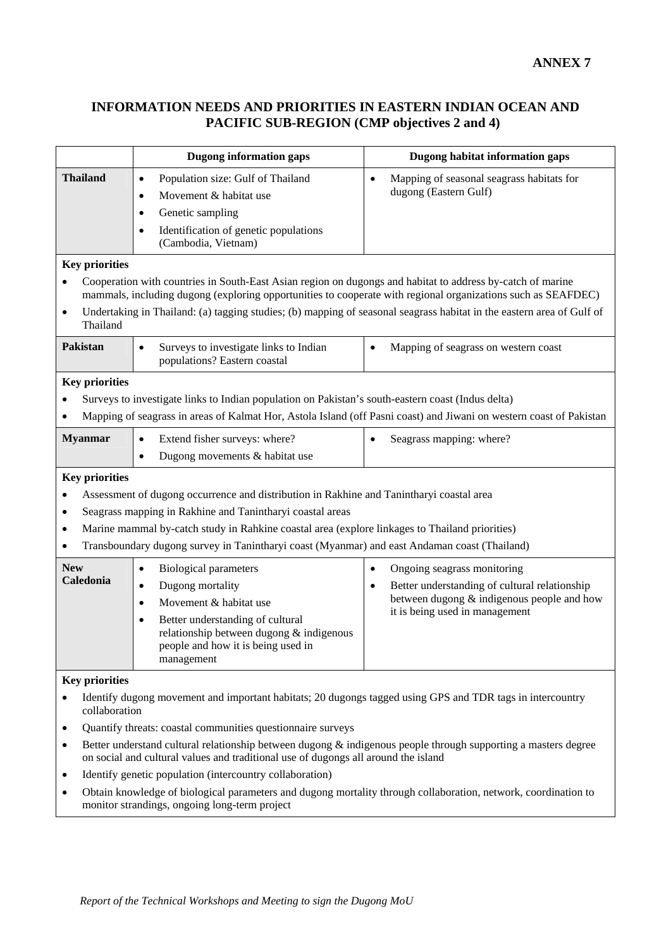## **INFORMATION NEEDS AND PRIORITIES IN EASTERN INDIAN OCEAN AND PACIFIC SUB-REGION (CMP objectives 2 and 4)**

|                                                                                                                                                                                                                                                                                                                                                                                                                                                                                                                                   | <b>Dugong information gaps</b>                                                                                                                                                                                                                                                                                    | Dugong habitat information gaps                                                                                                                                                |  |
|-----------------------------------------------------------------------------------------------------------------------------------------------------------------------------------------------------------------------------------------------------------------------------------------------------------------------------------------------------------------------------------------------------------------------------------------------------------------------------------------------------------------------------------|-------------------------------------------------------------------------------------------------------------------------------------------------------------------------------------------------------------------------------------------------------------------------------------------------------------------|--------------------------------------------------------------------------------------------------------------------------------------------------------------------------------|--|
| <b>Thailand</b>                                                                                                                                                                                                                                                                                                                                                                                                                                                                                                                   | Population size: Gulf of Thailand<br>$\bullet$<br>Movement & habitat use<br>$\bullet$<br>Genetic sampling<br>$\bullet$<br>Identification of genetic populations<br>$\bullet$<br>(Cambodia, Vietnam)                                                                                                               | Mapping of seasonal seagrass habitats for<br>$\bullet$<br>dugong (Eastern Gulf)                                                                                                |  |
| <b>Key priorities</b><br>Cooperation with countries in South-East Asian region on dugongs and habitat to address by-catch of marine<br>٠<br>mammals, including dugong (exploring opportunities to cooperate with regional organizations such as SEAFDEC)<br>Undertaking in Thailand: (a) tagging studies; (b) mapping of seasonal seagrass habitat in the eastern area of Gulf of<br>٠<br>Thailand<br><b>Pakistan</b><br>Mapping of seagrass on western coast<br>Surveys to investigate links to Indian<br>$\bullet$<br>$\bullet$ |                                                                                                                                                                                                                                                                                                                   |                                                                                                                                                                                |  |
| populations? Eastern coastal<br><b>Key priorities</b><br>Surveys to investigate links to Indian population on Pakistan's south-eastern coast (Indus delta)                                                                                                                                                                                                                                                                                                                                                                        |                                                                                                                                                                                                                                                                                                                   |                                                                                                                                                                                |  |
| <b>Myanmar</b>                                                                                                                                                                                                                                                                                                                                                                                                                                                                                                                    | Extend fisher surveys: where?<br>$\bullet$<br>Dugong movements & habitat use<br>$\bullet$                                                                                                                                                                                                                         | Mapping of seagrass in areas of Kalmat Hor, Astola Island (off Pasni coast) and Jiwani on western coast of Pakistan<br>Seagrass mapping: where?                                |  |
| <b>Key priorities</b><br>Assessment of dugong occurrence and distribution in Rakhine and Tanintharyi coastal area<br>Seagrass mapping in Rakhine and Tanintharyi coastal areas<br>٠<br>Marine mammal by-catch study in Rahkine coastal area (explore linkages to Thailand priorities)<br>٠<br>Transboundary dugong survey in Tanintharyi coast (Myanmar) and east Andaman coast (Thailand)<br>٠                                                                                                                                   |                                                                                                                                                                                                                                                                                                                   |                                                                                                                                                                                |  |
| <b>New</b><br>Caledonia                                                                                                                                                                                                                                                                                                                                                                                                                                                                                                           | <b>Biological parameters</b><br>$\bullet$<br>Dugong mortality<br>$\bullet$<br>Movement & habitat use<br>$\bullet$<br>Better understanding of cultural<br>$\bullet$<br>relationship between dugong & indigenous<br>people and how it is being used in<br>management                                                | Ongoing seagrass monitoring<br>$\bullet$<br>Better understanding of cultural relationship<br>٠<br>between dugong & indigenous people and how<br>it is being used in management |  |
| <b>Key priorities</b><br>Identify dugong movement and important habitats; 20 dugongs tagged using GPS and TDR tags in intercountry<br>collaboration<br>Quantify threats: coastal communities questionnaire surveys<br>٠<br>Better understand cultural relationship between dugong $\&$ indigenous people through supporting a masters degree<br>٠                                                                                                                                                                                 |                                                                                                                                                                                                                                                                                                                   |                                                                                                                                                                                |  |
| ٠<br>٠                                                                                                                                                                                                                                                                                                                                                                                                                                                                                                                            | on social and cultural values and traditional use of dugongs all around the island<br>Identify genetic population (intercountry collaboration)<br>Obtain knowledge of biological parameters and dugong mortality through collaboration, network, coordination to<br>monitor strandings, ongoing long-term project |                                                                                                                                                                                |  |